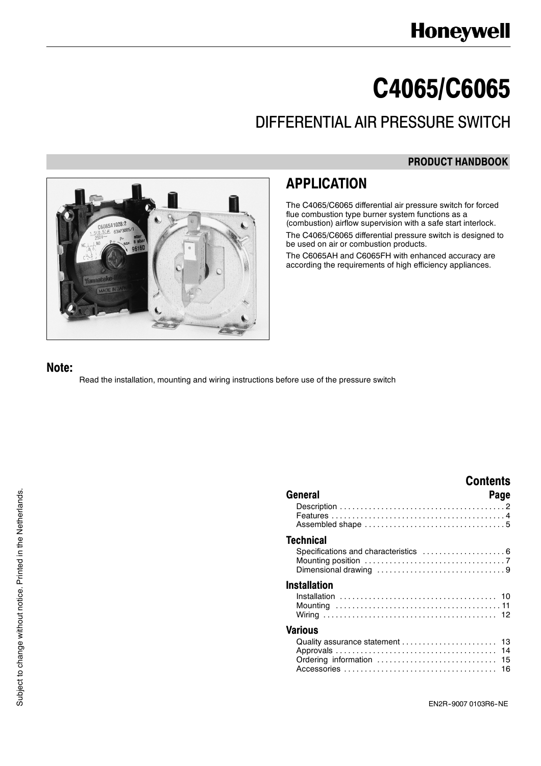# **C4065/C6065**

# DIFFERENTIAL AIR PRESSURE SWITCH

### **PRODUCT HANDBOOK**



### **APPLICATION**

The C4065/C6065 differential air pressure switch for forced flue combustion type burner system functions as a (combustion) airflow supervision with a safe start interlock. The C4065/C6065 differential pressure switch is designed to be used on air or combustion products.

The C6065AH and C6065FH with enhanced accuracy are according the requirements of high efficiency appliances.

### **Note:**

Read the installation, mounting and wiring instructions before use of the pressure switch

|                                                             | <b>Contents</b> |
|-------------------------------------------------------------|-----------------|
| General                                                     | Page            |
|                                                             |                 |
| Technical<br>Specifications and characteristics  6          |                 |
| <b>Installation</b>                                         |                 |
| Various                                                     |                 |
| Quality assurance statement  13<br>Ordering information  15 |                 |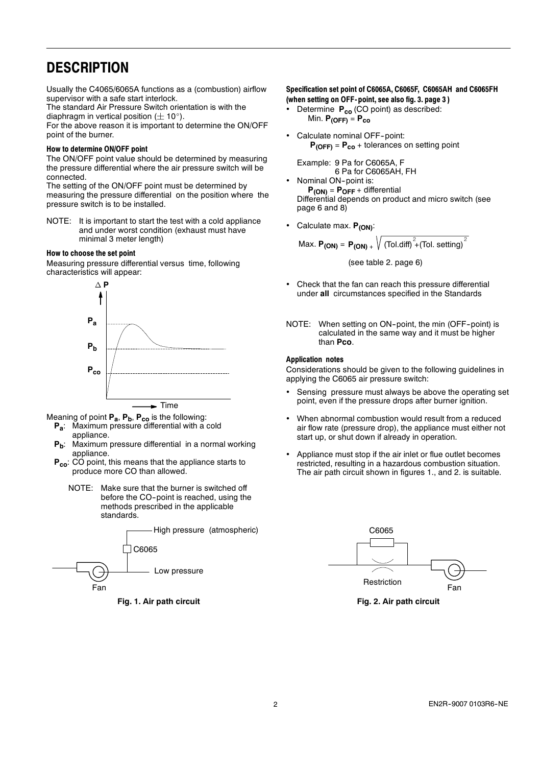### **DESCRIPTION**

Usually the C4065/6065A functions as a (combustion) airflow supervisor with a safe start interlock.

The standard Air Pressure Switch orientation is with the diaphragm in vertical position ( $\pm$  10 $^{\circ}$ ).

For the above reason it is important to determine the ON/OFF point of the burner.

#### **How to determine ON/OFF point**

The ON/OFF point value should be determined by measuring the pressure differential where the air pressure switch will be connected.

The setting of the ON/OFF point must be determined by measuring the pressure differential on the position where the pressure switch is to be installed.

NOTE: It is important to start the test with a cold appliance and under worst condition (exhaust must have minimal 3 meter length)

#### **How to choose the set point**

Measuring pressure differential versus time, following characteristics will appear:



- Meaning of point P<sub>a</sub>, P<sub>b</sub>, P<sub>co</sub> is the following:
	- **Pa**: Maximum pressure differential with a cold appliance.
	- P<sub>b</sub>: Maximum pressure differential in a normal working appliance.
	- **Pco**: CO point, this means that the appliance starts to produce more CO than allowed.
		- NOTE: Make sure that the burner is switched off before the CO-point is reached, using the methods prescribed in the applicable standards.



**Fig. 1. Air path circuit**

#### **Specification set point of C6065A, C6065F, C6065AH and C6065FH (when setting on OFF- point, see also fig. 3. page 3 )**

- Determine **P<sub>co</sub>** (CO point) as described: Min. **P(OFF)** = **Pco**
- Calculate nominal OFF-point: **P(OFF)** = **Pco** + tolerances on setting point

Example: 9 Pa for C6065A, F 6 Pa for C6065AH, FH

- Nominal ON-point is: **P(ON)** = **POFF** + differential Differential depends on product and micro switch (see page 6 and 8)
- Calculate max. **P<sub>(ON)</sub>**:

$$
\text{Max. } \mathbf{P_{(ON)}} = \mathbf{P_{(ON)}} + \sqrt{(Tol.dim)^2 + (Tol.\text{ setting})^2}
$$

(see table 2. page 6)

- Check that the fan can reach this pressure differential under **all** circumstances specified in the Standards
- NOTE: When setting on ON-point, the min (OFF-point) is calculated in the same way and it must be higher than **Pco**.

#### **Application notes**

Considerations should be given to the following guidelines in applying the C6065 air pressure switch:

- Sensing pressure must always be above the operating set point, even if the pressure drops after burner ignition.
- When abnormal combustion would result from a reduced air flow rate (pressure drop), the appliance must either not start up, or shut down if already in operation.
- Appliance must stop if the air inlet or flue outlet becomes restricted, resulting in a hazardous combustion situation. The air path circuit shown in figures 1., and 2. is suitable.



**Fig. 2. Air path circuit**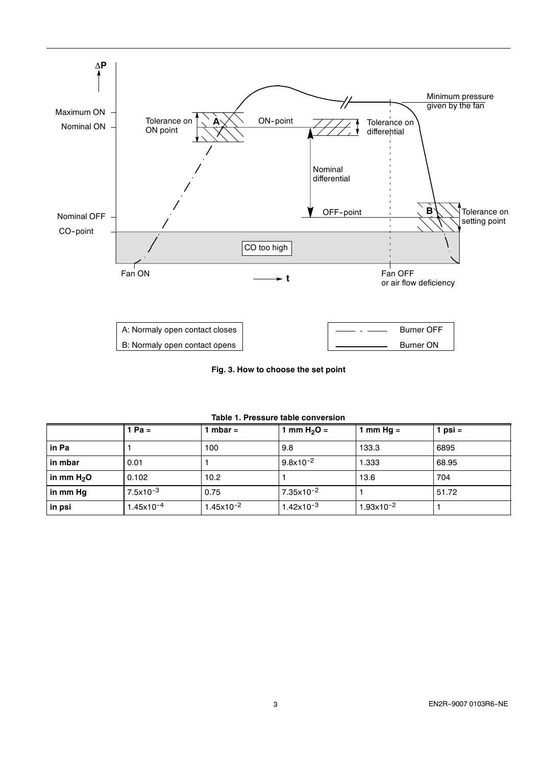

**Fig. 3. How to choose the set point**

|              | 1 Pa =         | mbar $=$       | 1 mm H <sub>2</sub> O = | 1 mm Hg $=$    | 1 psi $=$ |
|--------------|----------------|----------------|-------------------------|----------------|-----------|
| in Pa        |                | 100            | 9.8                     | 133.3          | 6895      |
| in mbar      | 0.01           |                | $9.8x10^{-2}$           | 1.333          | 68.95     |
| in mm $H_2O$ | 0.102          | 10.2           |                         | 13.6           | 704       |
| in mm Hg     | $7.5x10^{-3}$  | 0.75           | 7.35x10 <sup>-2</sup>   |                | 51.72     |
| in psi       | $1.45x10^{-4}$ | $1.45x10^{-2}$ | $1.42x10^{-3}$          | $1.93x10^{-2}$ |           |

**Table 1. Pressure table conversion**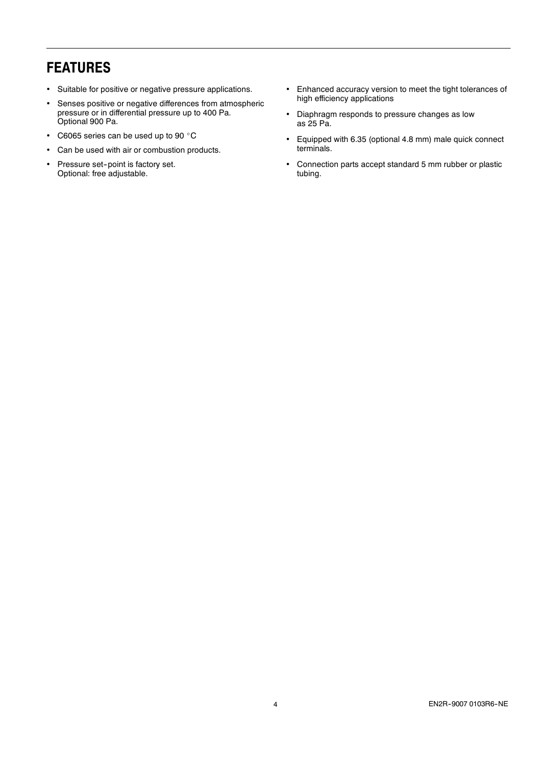# **FEATURES**

- Suitable for positive or negative pressure applications.
- Senses positive or negative differences from atmospheric pressure or in differential pressure up to 400 Pa. Optional 900 Pa.
- C6065 series can be used up to 90  $^{\circ}$ C
- Can be used with air or combustion products.
- Pressure set-point is factory set. Optional: free adjustable.
- Enhanced accuracy version to meet the tight tolerances of high efficiency applications
- Diaphragm responds to pressure changes as low as 25 Pa.
- Equipped with 6.35 (optional 4.8 mm) male quick connect terminals.
- Connection parts accept standard 5 mm rubber or plastic tubing.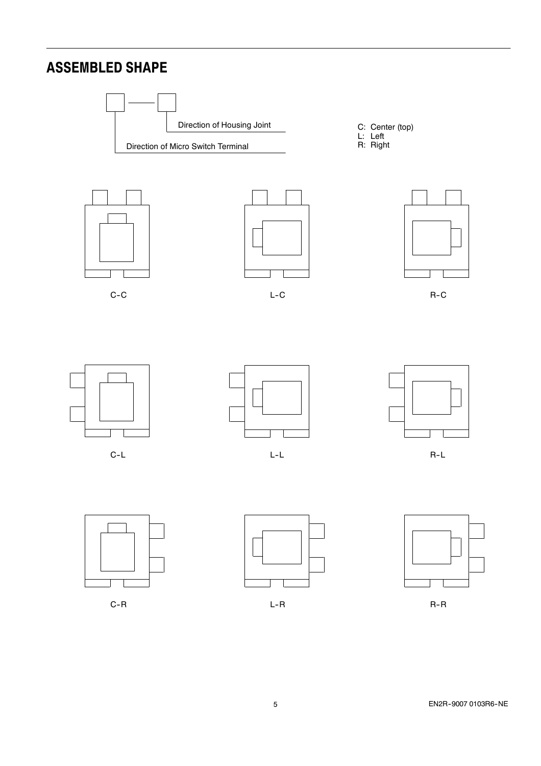# **ASSEMBLED SHAPE**











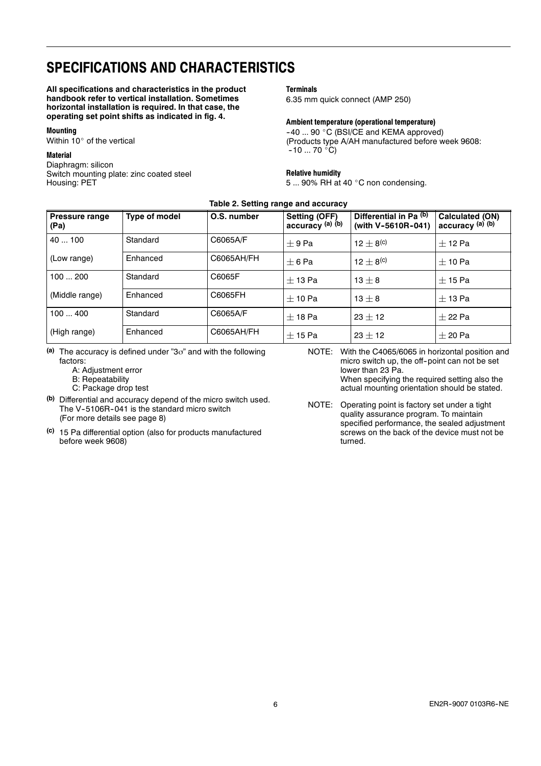## **SPECIFICATIONS AND CHARACTERISTICS**

**All specifications and characteristics in the product handbook refer to vertical installation. Sometimes horizontal installation is required. In that case, the operating set point shifts as indicated in fig. 4.**

#### **Mounting**

Within 10° of the vertical

### **Material**

Diaphragm: silicon Switch mounting plate: zinc coated steel Housing: PET

### **Terminals**

6.35 mm quick connect (AMP 250)

#### **Ambient temperature (operational temperature)**

 $-40$  ... 90 °C (BSI/CE and KEMA approved) (Products type A/AH manufactured before week 9608:  $-10$  ... 70  $^{\circ}$ C)

#### **Relative humidity**

5 ... 90% RH at 40 $\degree$ C non condensing.

| Table 2. Setting range and accuracy |  |  |
|-------------------------------------|--|--|
|-------------------------------------|--|--|

| <b>Pressure range</b><br>(Pa) | Type of model | O.S. number | <b>Setting (OFF)</b><br>accuracy (a) (b) | Differential in Pa (b)<br>(with V-5610R-041) | <b>Calculated (ON)</b><br>accuracy (a) (b) |
|-------------------------------|---------------|-------------|------------------------------------------|----------------------------------------------|--------------------------------------------|
| 40100                         | Standard      | C6065A/F    | $+9Pa$                                   | 12 $\pm$ 8 <sup>(c)</sup>                    | $+12$ Pa                                   |
| (Low range)                   | Enhanced      | C6065AH/FH  | $+6$ Pa                                  | $12 + 8$ <sup>(c)</sup>                      | $+$ 10 Pa                                  |
| 100200                        | Standard      | C6065F      | $+$ 13 Pa                                | $13 + 8$                                     | $+$ 15 Pa                                  |
| (Middle range)                | Enhanced      | C6065FH     | $+$ 10 Pa                                | $13 + 8$                                     | $+$ 13 Pa                                  |
| 100400                        | Standard      | C6065A/F    | $+$ 18 Pa                                | $23 + 12$                                    | $+22$ Pa                                   |
| (High range)                  | Enhanced      | C6065AH/FH  | $+$ 15 Pa                                | $23 + 12$                                    | $+20$ Pa                                   |

- (a) The accuracy is defined under "3<sub>0</sub>" and with the following factors:
	- A: Adjustment error
	- B: Repeatability
	- C: Package drop test
- **(b)** Differential and accuracy depend of the micro switch used. The V-5106R-041 is the standard micro switch (For more details see page 8)
- **(c)** 15 Pa differential option (also for products manufactured before week 9608)

NOTE: With the C4065/6065 in horizontal position and micro switch up, the off-point can not be set lower than 23 Pa.

When specifying the required setting also the actual mounting orientation should be stated.

NOTE: Operating point is factory set under a tight quality assurance program. To maintain specified performance, the sealed adjustment screws on the back of the device must not be turned.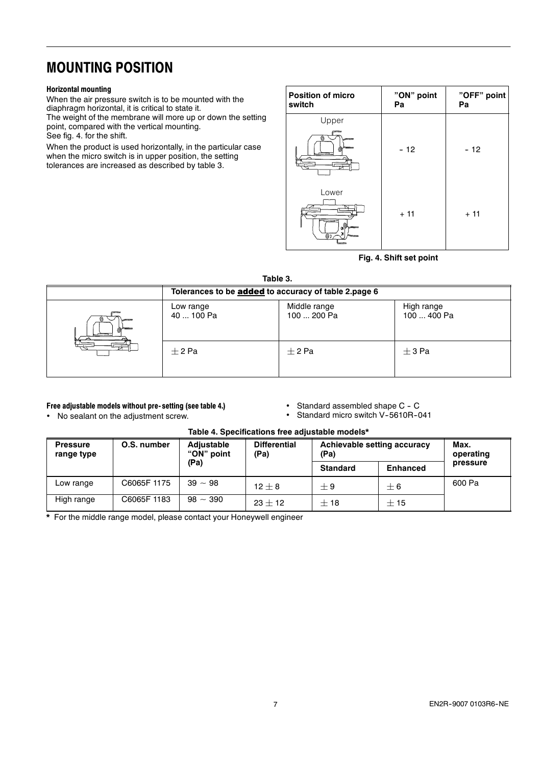### **MOUNTING POSITION**

### **Horizontal mounting**

When the air pressure switch is to be mounted with the diaphragm horizontal, it is critical to state it. The weight of the membrane will more up or down the setting point, compared with the vertical mounting. See fig. 4. for the shift.

When the product is used horizontally, in the particular case when the micro switch is in upper position, the setting tolerances are increased as described by table 3.

| <b>Position of micro</b><br>switch | "ON" point<br>Pa | "OFF" point<br>Pa |
|------------------------------------|------------------|-------------------|
| Upper<br>$\overline{\circ}$<br>6   | $-12$            | $-12$             |
| Lower<br>'%)<br>@1                 | $+11$            | $+11$             |

### **Fig. 4. Shift set point**

### **Table 3.**

| TUNIY V. |                                                      |                             |                           |  |  |
|----------|------------------------------------------------------|-----------------------------|---------------------------|--|--|
|          | Tolerances to be added to accuracy of table 2.page 6 |                             |                           |  |  |
| سسا<br>∼ | Low range<br>40  100 Pa                              | Middle range<br>100  200 Pa | High range<br>100  400 Pa |  |  |
| ⇁        | $+2$ Pa                                              | $+2$ Pa                     | $+3$ Pa                   |  |  |

### **Free adjustable models without pre- setting (see table 4.)**

No sealant on the adjustment screw.

- Standard assembled shape C C
- Standard micro switch V-5610R-041

| <b>Pressure</b><br>range type | O.S. number | Adjustable<br>"ON" point | <b>Differential</b><br>(Pa) | Achievable setting accuracy<br>(Pa) |                 | Max.<br>operating |
|-------------------------------|-------------|--------------------------|-----------------------------|-------------------------------------|-----------------|-------------------|
|                               |             | (Pa)                     |                             | <b>Standard</b>                     | <b>Enhanced</b> | pressure          |
| Low range                     | C6065F1175  | $39 - 98$                | $12 + 8$                    | $+9$                                | $+6$            | 600 Pa            |
| High range                    | C6065F 1183 | $98 \sim 390$            | $23 + 12$                   | $+18$                               | $+15$           |                   |

### **Table 4. Specifications free adjustable models\***

**\*** For the middle range model, please contact your Honeywell engineer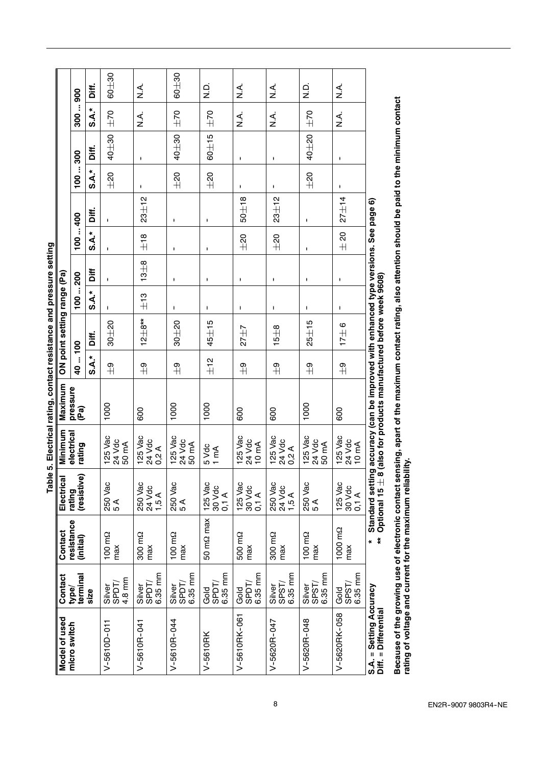|                                                 |                            |                           | Tabl                               |                            | e 5. Electrical rating, contact resistance and pressure setting                                                              |                 |                             |          |                    |                |             |          |                    |                            |           |
|-------------------------------------------------|----------------------------|---------------------------|------------------------------------|----------------------------|------------------------------------------------------------------------------------------------------------------------------|-----------------|-----------------------------|----------|--------------------|----------------|-------------|----------|--------------------|----------------------------|-----------|
| Model of used                                   | Contact                    | Contact                   | Electrical                         | Minimum                    | Maximum                                                                                                                      |                 | ON point setting range (Pa) |          |                    |                |             |          |                    |                            |           |
| micro switch                                    | terminal<br>type/          | resistance<br>(initial)   | (resistive<br>rating               | electrical<br>rating       | pressure<br>(Pa)                                                                                                             | 40  100         |                             | 100200   |                    | 100  400       |             | 100300   |                    | 300900                     |           |
|                                                 | size                       |                           |                                    |                            |                                                                                                                              | s.A*            | Diff.                       | $S.A.*$  | Ìί                 | $S.A.*$        | Diff.       | s A.*    | Diff.              | s.A.*                      | Diff.     |
| $V-5610D-011$                                   | 4.8 mm<br>SPDT/<br>Silver  | 100 mΩ<br>max             | 250 Vac<br>5 A                     | 125 Vac<br>24 Vdc<br>50 mA | 1000                                                                                                                         | ၅ $\frac{1}{2}$ | $30 + 20$                   |          | ٠                  | $\mathbf{I}$   |             | $\pm 20$ | $40 + 30$          | $\pm 70$                   | $60 + 30$ |
| $V-5610R-041$                                   | 6.35 mm<br>SPDT/<br>Silver | 300 m <sub>2</sub><br>max | 250 Vac<br>24 Vdc<br>1,5A          | 125 Vac<br>24 Vdc<br>0,2A  | 600                                                                                                                          | $\frac{9}{11}$  | $12\pm8**$                  | $\pm$ 13 | $13 + 8$           | $\frac{8}{10}$ | $23 + 12$   | ٠        | ł                  | $\stackrel{\prec}{z}$      | ≺.<br>Z   |
| V-5610R-044                                     | 6.35 mm<br>Silver<br>SPDT/ | 100 mΩ<br>max             | 250 Vac<br>5 A                     | 125 Vac<br>24 Vdc<br>50 mA | 1000                                                                                                                         | $\frac{9}{4}$   | $30 + 20$                   | ٠        | ł                  | ł              | ٠           | $\pm 20$ | $40 + 30$          | $\pm 70$                   | $60 + 30$ |
| V-5610RK                                        | 6.35 mm<br>SPDT/<br>Gold   | 50 mΩ max                 | 125 Vac<br>30 Vdc<br>$0,1 \land$   | 5 Vdc<br>$1 \text{ mA}$    | 1000                                                                                                                         | $\pm$ 12        | $45 + 15$                   | ł        | $\pmb{\mathsf{I}}$ | ł              | ٠           | $\pm 20$ | $60 \pm 15$        | $\pm 70$                   | Q.<br>Z   |
| V-5610RK-061                                    | 6.35 mm<br>SPDT/<br>Gold   | 500 m <sub>2</sub><br>max | 125 Vac<br>30 Vdc<br>$0,1 \land$   | 125 Vac<br>24 Vdc<br>10 mA | 600                                                                                                                          | $\frac{9}{4}$   | $27 + 7$                    | ٠        | ŧ                  | $\pm 20$       | $50 \pm 18$ | ŧ        | $\pmb{\cdot}$      | ≤<br>Z                     | ∠<br>Z    |
| V-5620R-047                                     | 6.35 mm<br>SPST/<br>Silver | 300 mΩ<br>max             | 250 Vac<br>24 Vdc<br>1,5 A         | 125 Vac<br>24 Vdc<br>0,2 A | 600                                                                                                                          | $\frac{9}{11}$  | $15 + 8$                    | ŧ        | ŧ                  | ±20            | $23 + 12$   | ٠        | Ł                  | $\stackrel{\prec}{\simeq}$ | ∠<br>Z    |
| $V - 5620R - 048$                               | 6.35 mm<br>SPST/<br>Silver | 100 mΩ<br>max             | 250 Vac<br>5 A                     | 125 Vac<br>24 Vdc<br>50 mA | 1000                                                                                                                         | $\frac{9}{4}$   | $25 \pm 15$                 | ł        | ł                  | ł              | ł           | $\pm 20$ | 40±20              | $\pm 70$                   | oj<br>Z   |
| V-5620RK-058                                    | 6.35 mm<br>SPST/<br>Gold   | 1000 mΩ<br>max            | 125 Vac<br>30 Vdc<br>$0,1 \land$   | 125 Vac<br>24 Vdc<br>10 mA | 600                                                                                                                          | $\frac{9}{4}$   | $17 \pm 6$                  |          | ł                  | $\pm 20$       | $27 + 14$   | ł.       | $\pmb{\mathsf{I}}$ | <<br>≥                     | ∠<br>Z    |
| S.A. = Setting Accuracy<br>Diff. = Differential |                            | ŧ                         | Standard settir<br>Optional 15 ± । |                            | ng accuracy (can be improved with enhanced type versions. See page 6)<br>8 (also for products manufactured before week 9608) |                 |                             |          |                    |                |             |          |                    |                            |           |

Because of the growing use of electronic contact sensing, apart of the maximum contact rating, also attention should be paid to the minimum contact<br>rating of voltage and current for the maximum reliability. Because of the growing use of electronic contact sensing, apart of the maximum contact rating, also attention should be paid to the minimum contact **rating of voltage and current for the maximum reliability.**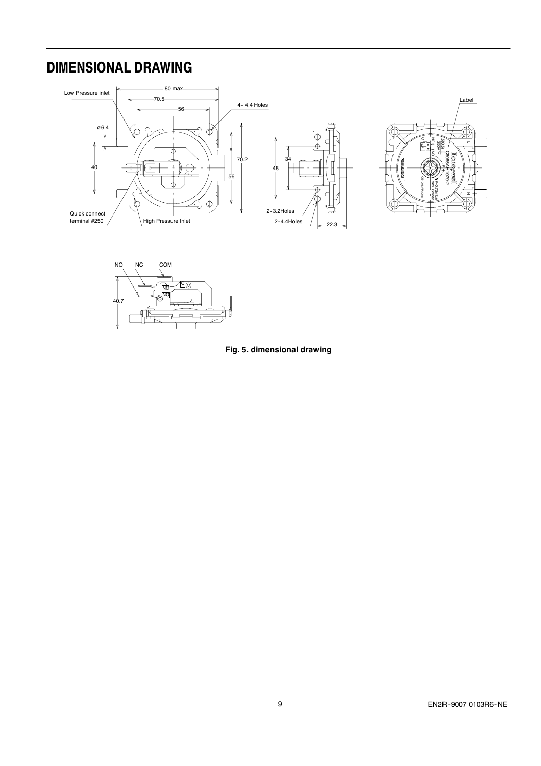### **DIMENSIONAL DRAWING**





**Fig. 5. dimensional drawing**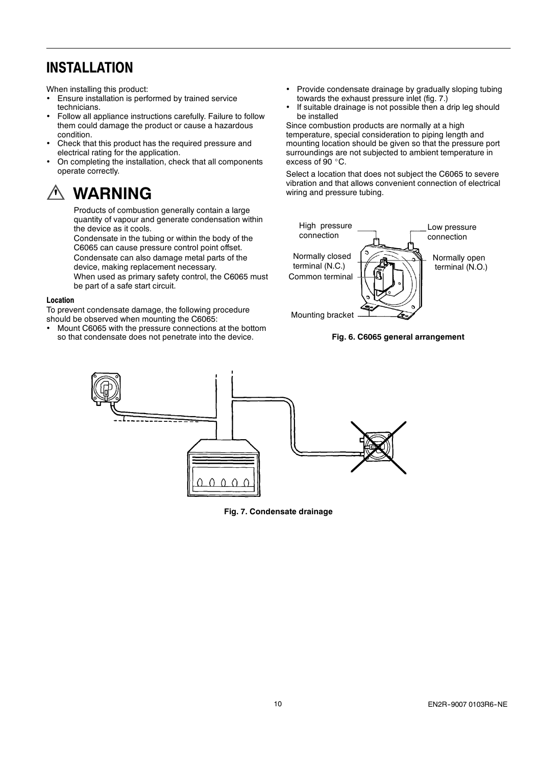### **INSTALLATION**

When installing this product:

- Ensure installation is performed by trained service technicians.
- Follow all appliance instructions carefully. Failure to follow them could damage the product or cause a hazardous condition.
- Check that this product has the required pressure and electrical rating for the application.
- On completing the installation, check that all components operate correctly.

# **WARNING**

Products of combustion generally contain a large quantity of vapour and generate condensation within the device as it cools.

Condensate in the tubing or within the body of the C6065 can cause pressure control point offset. Condensate can also damage metal parts of the device, making replacement necessary.

When used as primary safety control, the C6065 must be part of a safe start circuit.

#### **Location**

To prevent condensate damage, the following procedure should be observed when mounting the C6065:

 Mount C6065 with the pressure connections at the bottom so that condensate does not penetrate into the device.

- Provide condensate drainage by gradually sloping tubing towards the exhaust pressure inlet (fig. 7.)
- If suitable drainage is not possible then a drip leg should be installed

Since combustion products are normally at a high temperature, special consideration to piping length and mounting location should be given so that the pressure port surroundings are not subjected to ambient temperature in excess of  $90^\circ$ C.

Select a location that does not subject the C6065 to severe vibration and that allows convenient connection of electrical wiring and pressure tubing.



### **Fig. 6. C6065 general arrangement**



**Fig. 7. Condensate drainage**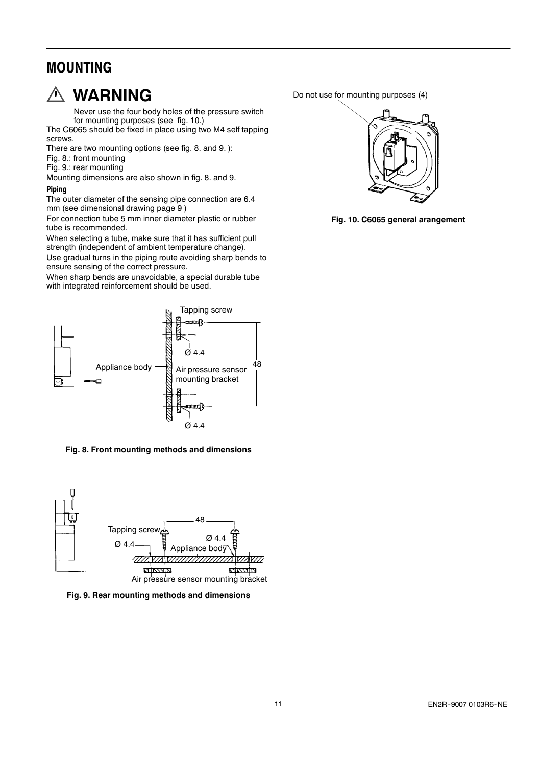### **MOUNTING**



### **WARNING**

Never use the four body holes of the pressure switch for mounting purposes (see fig. 10.)

The C6065 should be fixed in place using two M4 self tapping screws.

There are two mounting options (see fig. 8. and 9. ):

Fig. 8.: front mounting

Fig. 9.: rear mounting

Mounting dimensions are also shown in fig. 8. and 9.

#### **Piping**

The outer diameter of the sensing pipe connection are 6.4 mm (see dimensional drawing page 9 )

For connection tube 5 mm inner diameter plastic or rubber tube is recommended.

When selecting a tube, make sure that it has sufficient pull strength (independent of ambient temperature change).

Use gradual turns in the piping route avoiding sharp bends to ensure sensing of the correct pressure.

When sharp bends are unavoidable, a special durable tube with integrated reinforcement should be used.



**Fig. 8. Front mounting methods and dimensions**



**Fig. 9. Rear mounting methods and dimensions**

Do not use for mounting purposes (4)



**Fig. 10. C6065 general arangement**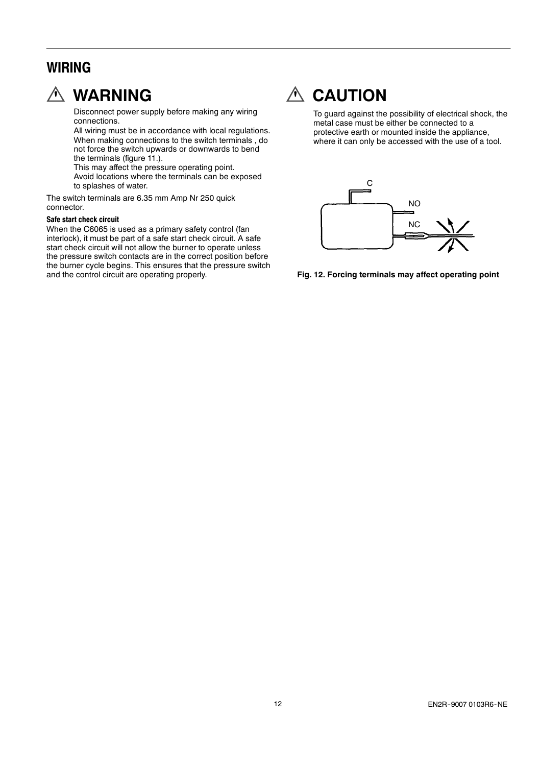### **WIRING**



# **WARNING**

Disconnect power supply before making any wiring connections.

All wiring must be in accordance with local regulations. When making connections to the switch terminals , do not force the switch upwards or downwards to bend the terminals (figure 11.).

This may affect the pressure operating point. Avoid locations where the terminals can be exposed to splashes of water.

The switch terminals are 6.35 mm Amp Nr 250 quick connector.

#### **Safe start check circuit**

When the C6065 is used as a primary safety control (fan interlock), it must be part of a safe start check circuit. A safe start check circuit will not allow the burner to operate unless the pressure switch contacts are in the correct position before the burner cycle begins. This ensures that the pressure switch and the control circuit are operating properly.



# **CAUTION**

To guard against the possibility of electrical shock, the metal case must be either be connected to a protective earth or mounted inside the appliance, where it can only be accessed with the use of a tool.



**Fig. 12. Forcing terminals may affect operating point**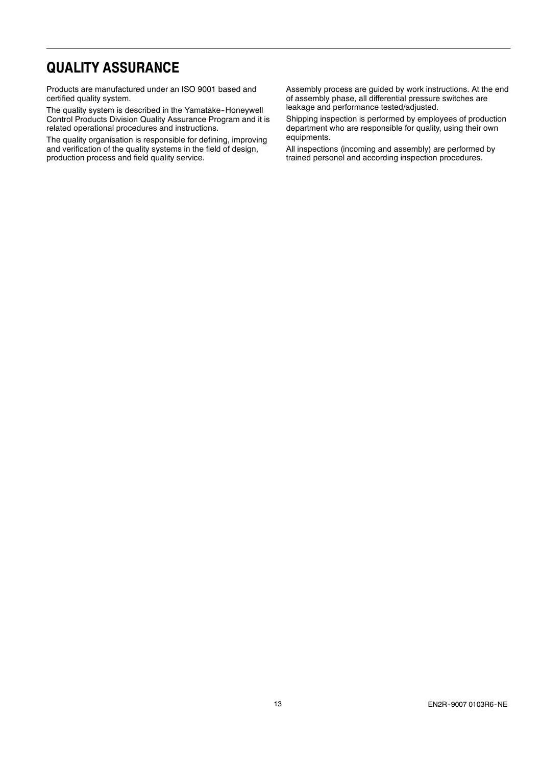### **QUALITY ASSURANCE**

Products are manufactured under an ISO 9001 based and certified quality system.

The quality system is described in the Yamatake-Honeywell Control Products Division Quality Assurance Program and it is related operational procedures and instructions.

The quality organisation is responsible for defining, improving and verification of the quality systems in the field of design, production process and field quality service.

Assembly process are guided by work instructions. At the end of assembly phase, all differential pressure switches are leakage and performance tested/adjusted.

Shipping inspection is performed by employees of production department who are responsible for quality, using their own equipments.

All inspections (incoming and assembly) are performed by trained personel and according inspection procedures.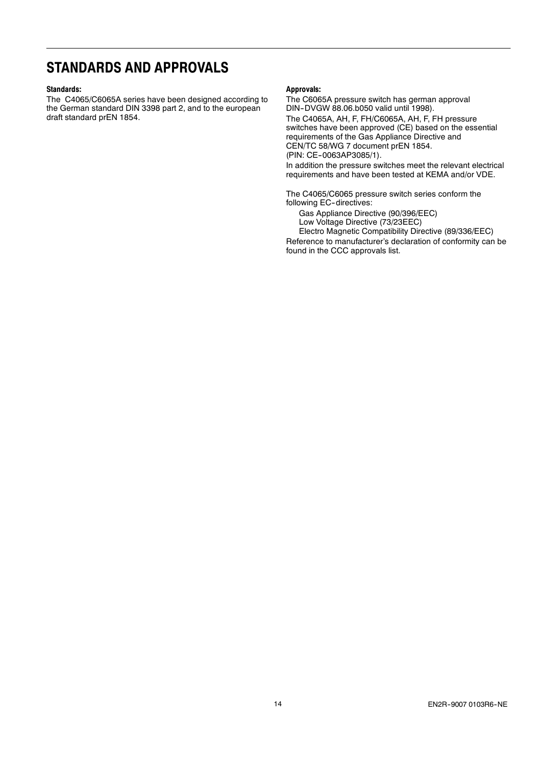### **STANDARDS AND APPROVALS**

#### **Standards:**

The C4065/C6065A series have been designed according to the German standard DIN 3398 part 2, and to the european draft standard prEN 1854.

#### **Approvals:**

The C6065A pressure switch has german approval DIN--DVGW 88.06.b050 valid until 1998). The C4065A, AH, F, FH/C6065A, AH, F, FH pressure switches have been approved (CE) based on the essential requirements of the Gas Appliance Directive and

CEN/TC 58/WG 7 document prEN 1854.

(PIN: CE--0063AP3085/1).

In addition the pressure switches meet the relevant electrical requirements and have been tested at KEMA and/or VDE.

The C4065/C6065 pressure switch series conform the following EC-directives:

Gas Appliance Directive (90/396/EEC)

Low Voltage Directive (73/23EEC)

Electro Magnetic Compatibility Directive (89/336/EEC) Reference to manufacturer's declaration of conformity can be found in the CCC approvals list.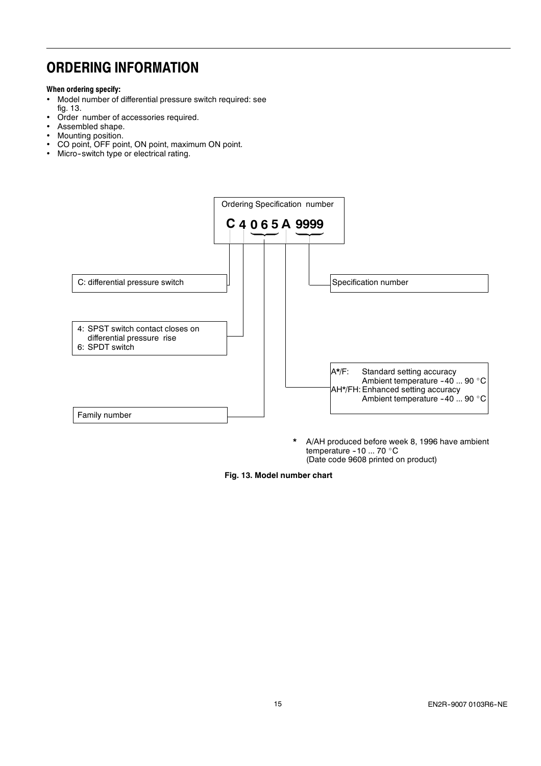### **ORDERING INFORMATION**

### **When ordering specify:**

- Model number of differential pressure switch required: see fig. 13.
- Order number of accessories required.
- Assembled shape.
- Mounting position.<br>• CO point OFF poi
- CO point, OFF point, ON point, maximum ON point.
- Micro-switch type or electrical rating.



**\*** A/AH produced before week 8, 1996 have ambient temperature -10 ... 70  $^{\circ}$ C (Date code 9608 printed on product)